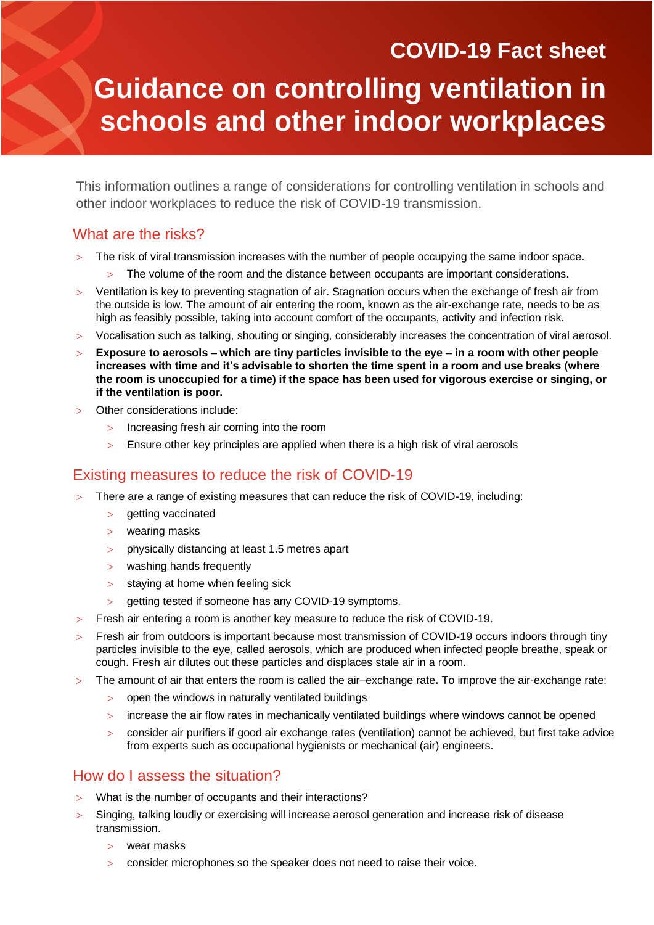# **COVID-19 Fact sheet Guidance on controlling ventilation in schools and other indoor workplaces**

This information outlines a range of considerations for controlling ventilation in schools and other indoor workplaces to reduce the risk of COVID-19 transmission.

# What are the risks?

- The risk of viral transmission increases with the number of people occupying the same indoor space.
	- The volume of the room and the distance between occupants are important considerations.
- Ventilation is key to preventing stagnation of air. Stagnation occurs when the exchange of fresh air from the outside is low. The amount of air entering the room, known as the air-exchange rate, needs to be as high as feasibly possible, taking into account comfort of the occupants, activity and infection risk.
- Vocalisation such as talking, shouting or singing, considerably increases the concentration of viral aerosol.
- **Exposure to aerosols – which are tiny particles invisible to the eye – in a room with other people increases with time and it's advisable to shorten the time spent in a room and use breaks (where the room is unoccupied for a time) if the space has been used for vigorous exercise or singing, or if the ventilation is poor.**
- Other considerations include:
	- > Increasing fresh air coming into the room
	- Ensure other key principles are applied when there is a high risk of viral aerosols

# Existing measures to reduce the risk of COVID-19

- There are a range of existing measures that can reduce the risk of COVID-19, including:
	- $>$  getting vaccinated
	- wearing masks
	- physically distancing at least 1.5 metres apart
	- $>$  washing hands frequently
	- $>$  staving at home when feeling sick
	- getting tested if someone has any COVID-19 symptoms.
- Fresh air entering a room is another key measure to reduce the risk of COVID-19.
- Fresh air from outdoors is important because most transmission of COVID-19 occurs indoors through tiny particles invisible to the eye, called aerosols, which are produced when infected people breathe, speak or cough. Fresh air dilutes out these particles and displaces stale air in a room.
- The amount of air that enters the room is called the air–exchange rate**.** To improve the air-exchange rate:
	- open the windows in naturally ventilated buildings
	- increase the air flow rates in mechanically ventilated buildings where windows cannot be opened
	- consider air purifiers if good air exchange rates (ventilation) cannot be achieved, but first take advice from experts such as occupational hygienists or mechanical (air) engineers.

# How do I assess the situation?

- What is the number of occupants and their interactions?
- Singing, talking loudly or exercising will increase aerosol generation and increase risk of disease transmission.
	- wear masks
	- consider microphones so the speaker does not need to raise their voice.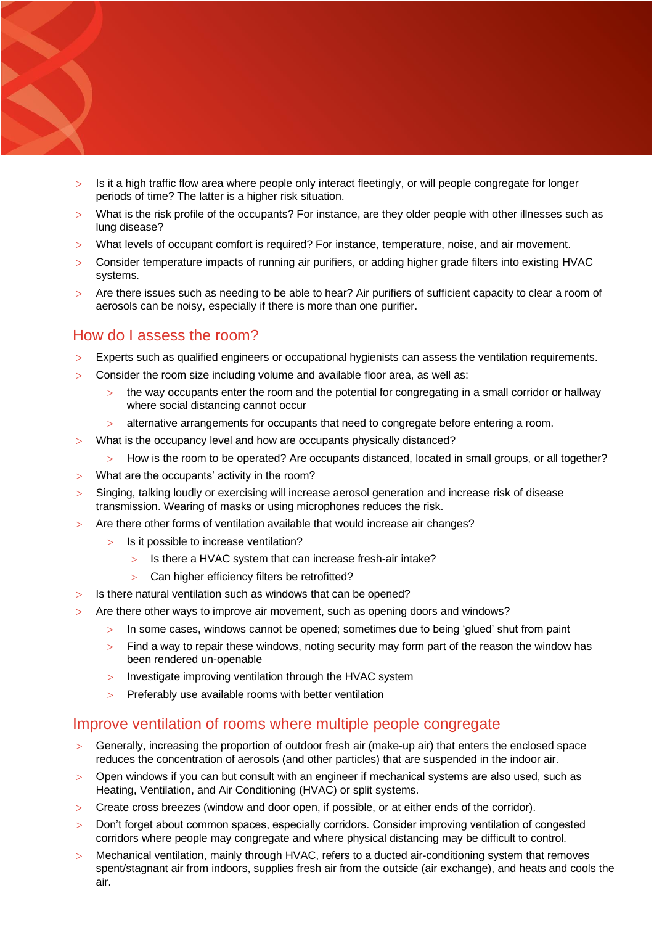- Is it a high traffic flow area where people only interact fleetingly, or will people congregate for longer periods of time? The latter is a higher risk situation.
- What is the risk profile of the occupants? For instance, are they older people with other illnesses such as lung disease?
- What levels of occupant comfort is required? For instance, temperature, noise, and air movement.
- Consider temperature impacts of running air purifiers, or adding higher grade filters into existing HVAC systems.
- Are there issues such as needing to be able to hear? Air purifiers of sufficient capacity to clear a room of aerosols can be noisy, especially if there is more than one purifier.

## How do I assess the room?

- Experts such as qualified engineers or occupational hygienists can assess the ventilation requirements.
- Consider the room size including volume and available floor area, as well as:
	- the way occupants enter the room and the potential for congregating in a small corridor or hallway where social distancing cannot occur
	- alternative arrangements for occupants that need to congregate before entering a room.
- What is the occupancy level and how are occupants physically distanced?
- How is the room to be operated? Are occupants distanced, located in small groups, or all together?
- What are the occupants' activity in the room?
- Singing, talking loudly or exercising will increase aerosol generation and increase risk of disease transmission. Wearing of masks or using microphones reduces the risk.
- Are there other forms of ventilation available that would increase air changes?
	- > Is it possible to increase ventilation?
		- $>$  Is there a HVAC system that can increase fresh-air intake?
		- Can higher efficiency filters be retrofitted?
- Is there natural ventilation such as windows that can be opened?
- Are there other ways to improve air movement, such as opening doors and windows?
	- > In some cases, windows cannot be opened; sometimes due to being 'glued' shut from paint
	- $>$  Find a way to repair these windows, noting security may form part of the reason the window has been rendered un-openable
	- Investigate improving ventilation through the HVAC system
	- $>$  Preferably use available rooms with better ventilation

#### Improve ventilation of rooms where multiple people congregate

- Generally, increasing the proportion of outdoor fresh air (make-up air) that enters the enclosed space reduces the concentration of aerosols (and other particles) that are suspended in the indoor air.
- Open windows if you can but consult with an engineer if mechanical systems are also used, such as Heating, Ventilation, and Air Conditioning (HVAC) or split systems.
- Create cross breezes (window and door open, if possible, or at either ends of the corridor).
- Don't forget about common spaces, especially corridors. Consider improving ventilation of congested corridors where people may congregate and where physical distancing may be difficult to control.
- Mechanical ventilation, mainly through HVAC, refers to a ducted air-conditioning system that removes spent/stagnant air from indoors, supplies fresh air from the outside (air exchange), and heats and cools the air.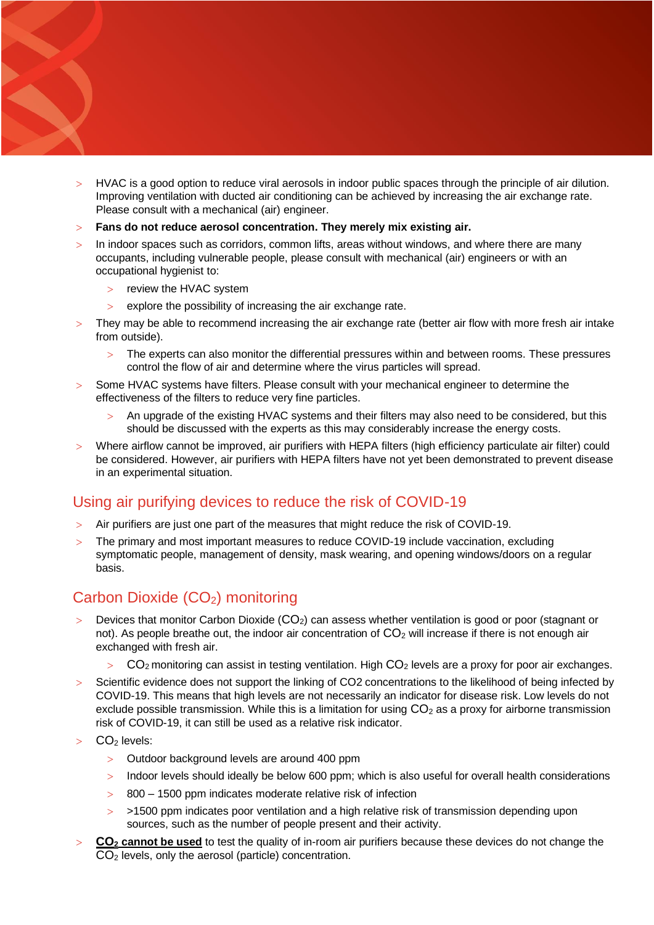- HVAC is a good option to reduce viral aerosols in indoor public spaces through the principle of air dilution. Improving ventilation with ducted air conditioning can be achieved by increasing the air exchange rate. Please consult with a mechanical (air) engineer.
- **Fans do not reduce aerosol concentration. They merely mix existing air.**
- > In indoor spaces such as corridors, common lifts, areas without windows, and where there are many occupants, including vulnerable people, please consult with mechanical (air) engineers or with an occupational hygienist to:
	- > review the HVAC system

- $\ge$  explore the possibility of increasing the air exchange rate.
- They may be able to recommend increasing the air exchange rate (better air flow with more fresh air intake from outside).
	- The experts can also monitor the differential pressures within and between rooms. These pressures control the flow of air and determine where the virus particles will spread.
- Some HVAC systems have filters. Please consult with your mechanical engineer to determine the effectiveness of the filters to reduce very fine particles.
	- An upgrade of the existing HVAC systems and their filters may also need to be considered, but this should be discussed with the experts as this may considerably increase the energy costs.
- Where airflow cannot be improved, air purifiers with HEPA filters (high efficiency particulate air filter) could be considered. However, air purifiers with HEPA filters have not yet been demonstrated to prevent disease in an experimental situation.

# Using air purifying devices to reduce the risk of COVID-19

- Air purifiers are just one part of the measures that might reduce the risk of COVID-19.
- The primary and most important measures to reduce COVID-19 include vaccination, excluding symptomatic people, management of density, mask wearing, and opening windows/doors on a regular basis.

# Carbon Dioxide (CO<sub>2</sub>) monitoring

- Devices that monitor Carbon Dioxide ( $CO<sub>2</sub>$ ) can assess whether ventilation is good or poor (stagnant or not). As people breathe out, the indoor air concentration of  $CO<sub>2</sub>$  will increase if there is not enough air exchanged with fresh air.
	- $CO<sub>2</sub>$  monitoring can assist in testing ventilation. High  $CO<sub>2</sub>$  levels are a proxy for poor air exchanges.
- > Scientific evidence does not support the linking of CO2 concentrations to the likelihood of being infected by COVID-19. This means that high levels are not necessarily an indicator for disease risk. Low levels do not exclude possible transmission. While this is a limitation for using  $CO<sub>2</sub>$  as a proxy for airborne transmission risk of COVID-19, it can still be used as a relative risk indicator.
- CO<sub>2</sub> levels:
	- Outdoor background levels are around 400 ppm
	- > Indoor levels should ideally be below 600 ppm; which is also useful for overall health considerations
	- 800 1500 ppm indicates moderate relative risk of infection
	- >1500 ppm indicates poor ventilation and a high relative risk of transmission depending upon sources, such as the number of people present and their activity.
- **CO<sup>2</sup> cannot be used** to test the quality of in-room air purifiers because these devices do not change the CO<sup>2</sup> levels, only the aerosol (particle) concentration.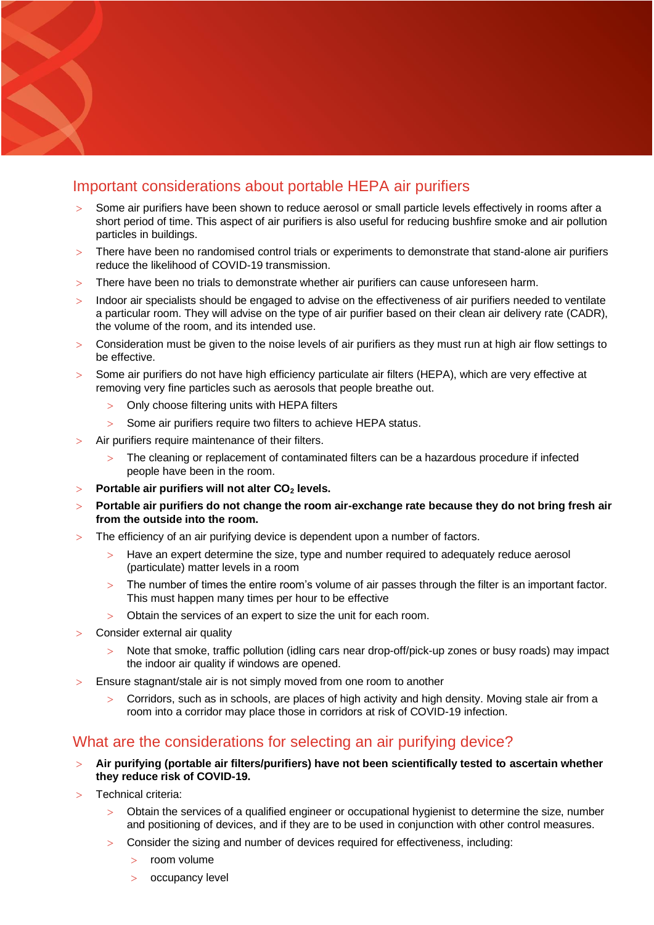# Important considerations about portable HEPA air purifiers

- Some air purifiers have been shown to reduce aerosol or small particle levels effectively in rooms after a short period of time. This aspect of air purifiers is also useful for reducing bushfire smoke and air pollution particles in buildings.
- There have been no randomised control trials or experiments to demonstrate that stand-alone air purifiers reduce the likelihood of COVID-19 transmission.
- There have been no trials to demonstrate whether air purifiers can cause unforeseen harm.
- > Indoor air specialists should be engaged to advise on the effectiveness of air purifiers needed to ventilate a particular room. They will advise on the type of air purifier based on their clean air delivery rate (CADR), the volume of the room, and its intended use.
- $>$  Consideration must be given to the noise levels of air purifiers as they must run at high air flow settings to be effective.
- Some air purifiers do not have high efficiency particulate air filters (HEPA), which are very effective at removing very fine particles such as aerosols that people breathe out.
	- Only choose filtering units with HEPA filters
	- Some air purifiers require two filters to achieve HEPA status.
- Air purifiers require maintenance of their filters.
	- The cleaning or replacement of contaminated filters can be a hazardous procedure if infected people have been in the room.
- **Portable air purifiers will not alter CO<sup>2</sup> levels.**
- **Portable air purifiers do not change the room air-exchange rate because they do not bring fresh air from the outside into the room.**
- The efficiency of an air purifying device is dependent upon a number of factors.
	- Have an expert determine the size, type and number required to adequately reduce aerosol (particulate) matter levels in a room
	- The number of times the entire room's volume of air passes through the filter is an important factor. This must happen many times per hour to be effective
	- Obtain the services of an expert to size the unit for each room.
- Consider external air quality

- Note that smoke, traffic pollution (idling cars near drop-off/pick-up zones or busy roads) may impact the indoor air quality if windows are opened.
- Ensure stagnant/stale air is not simply moved from one room to another
	- Corridors, such as in schools, are places of high activity and high density. Moving stale air from a room into a corridor may place those in corridors at risk of COVID-19 infection.

### What are the considerations for selecting an air purifying device?

- **Air purifying (portable air filters/purifiers) have not been scientifically tested to ascertain whether they reduce risk of COVID-19.**
- Technical criteria:
	- Obtain the services of a qualified engineer or occupational hygienist to determine the size, number and positioning of devices, and if they are to be used in conjunction with other control measures.
	- Consider the sizing and number of devices required for effectiveness, including:
		- room volume
		- > occupancy level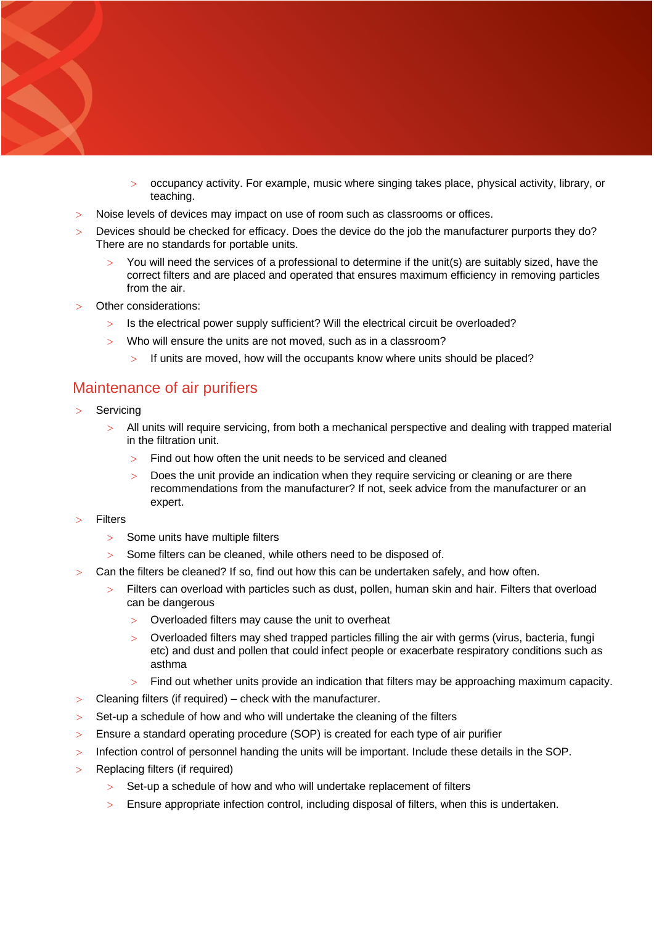- occupancy activity. For example, music where singing takes place, physical activity, library, or teaching.
- Noise levels of devices may impact on use of room such as classrooms or offices.
- Devices should be checked for efficacy. Does the device do the job the manufacturer purports they do? There are no standards for portable units.
	- You will need the services of a professional to determine if the unit(s) are suitably sized, have the correct filters and are placed and operated that ensures maximum efficiency in removing particles from the air.
- Other considerations:
	- $>$  Is the electrical power supply sufficient? Will the electrical circuit be overloaded?
	- Who will ensure the units are not moved, such as in a classroom?
		- $>$  If units are moved, how will the occupants know where units should be placed?

## Maintenance of air purifiers

**Servicing** 

- All units will require servicing, from both a mechanical perspective and dealing with trapped material in the filtration unit.
	- Find out how often the unit needs to be serviced and cleaned
	- Does the unit provide an indication when they require servicing or cleaning or are there recommendations from the manufacturer? If not, seek advice from the manufacturer or an expert.
- **Filters** 
	- > Some units have multiple filters
	- $>$  Some filters can be cleaned, while others need to be disposed of.
- Can the filters be cleaned? If so, find out how this can be undertaken safely, and how often.
	- Filters can overload with particles such as dust, pollen, human skin and hair. Filters that overload can be dangerous
		- Overloaded filters may cause the unit to overheat
		- Overloaded filters may shed trapped particles filling the air with germs (virus, bacteria, fungi etc) and dust and pollen that could infect people or exacerbate respiratory conditions such as asthma
		- $>$  Find out whether units provide an indication that filters may be approaching maximum capacity.
- Cleaning filters (if required) check with the manufacturer.
- $>$  Set-up a schedule of how and who will undertake the cleaning of the filters
- Ensure a standard operating procedure (SOP) is created for each type of air purifier
- Infection control of personnel handing the units will be important. Include these details in the SOP.
- Replacing filters (if required)
	- $>$  Set-up a schedule of how and who will undertake replacement of filters
	- Ensure appropriate infection control, including disposal of filters, when this is undertaken.